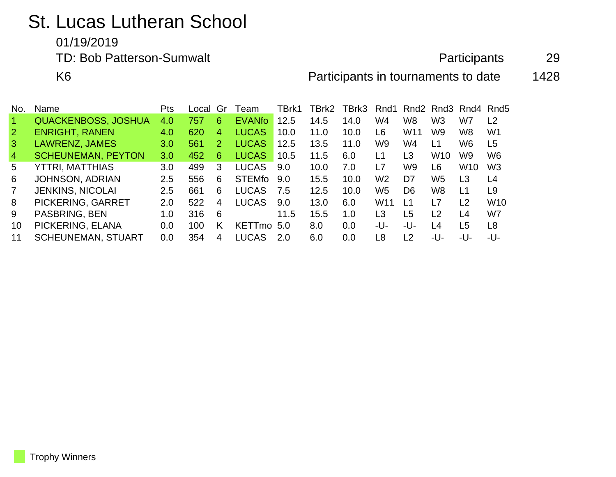## St. Lucas Lutheran School

01/19/2019

TD: Bob Patterson-Sumwalt **Participants** 29

K6 **Participants in tournaments to date** 1428

| No.                  | Name                       | Pts              | Local | Gr | Team          | TBrk1 | TBrk2 | TBrk3 | Rnd1            |                 | Rnd <sub>2</sub> Rnd <sub>3</sub> Rnd <sub>4</sub> Rnd <sub>5</sub> |                 |                 |
|----------------------|----------------------------|------------------|-------|----|---------------|-------|-------|-------|-----------------|-----------------|---------------------------------------------------------------------|-----------------|-----------------|
| $\blacktriangleleft$ | <b>QUACKENBOSS, JOSHUA</b> | 4.0              | 757   | 6  | <b>EVANfo</b> | 12.5  | 14.5  | 14.0  | W4              | W <sub>8</sub>  | W <sub>3</sub>                                                      | W7              | L <sub>2</sub>  |
| $\mathbf{2}$         | <b>ENRIGHT, RANEN</b>      | 4.0              | 620   | 4  | <b>LUCAS</b>  | 10.0  | 11.0  | 10.0  | L6              | W <sub>11</sub> | W9                                                                  | W8              | W <sub>1</sub>  |
| $\mathbf{3}$         | LAWRENZ, JAMES             | 3.0 <sub>1</sub> | 561   | 2  | <b>LUCAS</b>  | 12.5  | 13.5  | 11.0  | W9              | W4              | L1                                                                  | W6              | L <sub>5</sub>  |
| $\overline{4}$       | <b>SCHEUNEMAN, PEYTON</b>  | 3.0              | 452   | 6  | <b>LUCAS</b>  | 10.5  | 11.5  | 6.0   | L1              | L3              | W <sub>10</sub>                                                     | W9              | W <sub>6</sub>  |
| 5                    | YTTRI, MATTHIAS            | 3.0              | 499   | 3  | <b>LUCAS</b>  | 9.0   | 10.0  | 7.0   | l 7             | W9              | L6                                                                  | W <sub>10</sub> | W <sub>3</sub>  |
| 6                    | <b>JOHNSON, ADRIAN</b>     | 2.5              | 556   | 6  | <b>STEMfo</b> | 9.0   | 15.5  | 10.0  | W <sub>2</sub>  | D7              | W <sub>5</sub>                                                      | L <sub>3</sub>  | L <sub>4</sub>  |
| $\overline{7}$       | <b>JENKINS, NICOLAI</b>    | 2.5              | 661   | 6  | <b>LUCAS</b>  | 7.5   | 12.5  | 10.0  | W5              | D <sub>6</sub>  | W <sub>8</sub>                                                      | L <sub>1</sub>  | L <sub>9</sub>  |
| 8                    | PICKERING, GARRET          | 2.0              | 522   | 4  | <b>LUCAS</b>  | 9.0   | 13.0  | 6.0   | W <sub>11</sub> | l 1             | L7                                                                  | L <sub>2</sub>  | W <sub>10</sub> |
| 9                    | PASBRING, BEN              | 1.0              | 316   | 6  |               | 11.5  | 15.5  | 1.0   | L3              | L5              | L <sub>2</sub>                                                      | L4              | W7              |
| 10                   | PICKERING, ELANA           | 0.0              | 100   | Κ  | <b>KETTmo</b> | 5.0   | 8.0   | 0.0   | -U-             | -U-             | L4                                                                  | L <sub>5</sub>  | L8              |
| 11                   | <b>SCHEUNEMAN, STUART</b>  | 0.0              | 354   | 4  | <b>LUCAS</b>  | 20    | 6.0   | 0.0   | L8              | L <sub>2</sub>  | -U-                                                                 | -U-             | -U-             |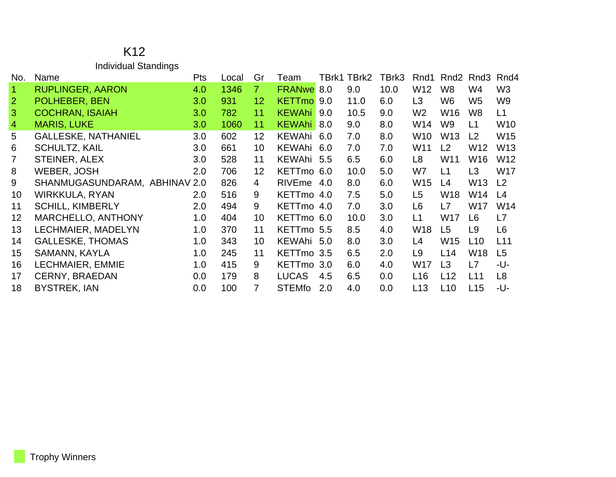| K <sub>12</sub>      |
|----------------------|
| Individual Standings |

| No.            | Name                          | Pts | Local | Gr              | Team          |     | TBrk1 TBrk2 | TBrk3 | Rnd1            | Rnd2            | Rnd3            | Rnd4            |
|----------------|-------------------------------|-----|-------|-----------------|---------------|-----|-------------|-------|-----------------|-----------------|-----------------|-----------------|
| $\overline{1}$ | <b>RUPLINGER, AARON</b>       | 4.0 | 1346  | 7 <sup>1</sup>  | <b>FRANwe</b> | 8.0 | 9.0         | 10.0  | W12             | W <sub>8</sub>  | W4              | W <sub>3</sub>  |
| $\overline{2}$ | POLHEBER, BEN                 | 3.0 | 931   | 12 <sub>2</sub> | KETTmo 9.0    |     | 11.0        | 6.0   | L <sub>3</sub>  | W <sub>6</sub>  | W <sub>5</sub>  | W <sub>9</sub>  |
| $\mathbf{3}$   | <b>COCHRAN, ISAIAH</b>        | 3.0 | 782   | 11              | <b>KEWAhi</b> | 9.0 | 10.5        | 9.0   | W <sub>2</sub>  | W16             | W8              | L1              |
| $\overline{4}$ | <b>MARIS, LUKE</b>            | 3.0 | 1060  | 11              | <b>KEWAhi</b> | 8.0 | 9.0         | 8.0   | W14             | W <sub>9</sub>  | L1              | W <sub>10</sub> |
| 5              | <b>GALLESKE, NATHANIEL</b>    | 3.0 | 602   | 12 <sup>2</sup> | KEWAhi 6.0    |     | 7.0         | 8.0   | W <sub>10</sub> | W <sub>13</sub> | L2              | W <sub>15</sub> |
| 6              | <b>SCHULTZ, KAIL</b>          | 3.0 | 661   | 10 <sup>°</sup> | KEWAhi 6.0    |     | 7.0         | 7.0   | W11             | L2              | W <sub>12</sub> | W <sub>13</sub> |
|                | STEINER, ALEX                 | 3.0 | 528   | 11              | KEWAhi 5.5    |     | 6.5         | 6.0   | L8              | W <sub>11</sub> | W <sub>16</sub> | W <sub>12</sub> |
| 8              | <b>WEBER, JOSH</b>            | 2.0 | 706   | 12              | KETTmo 6.0    |     | 10.0        | 5.0   | W7              | L1              | L3              | <b>W17</b>      |
| 9              | SHANMUGASUNDARAM, ABHINAV 2.0 |     | 826   | $\overline{4}$  | RIVEme 4.0    |     | 8.0         | 6.0   | W <sub>15</sub> | L4              | W <sub>13</sub> | L <sub>2</sub>  |
| 10             | WIRKKULA, RYAN                | 2.0 | 516   | 9               | KETTmo 4.0    |     | 7.5         | 5.0   | L <sub>5</sub>  | <b>W18</b>      | W14             | L4              |
| 11             | <b>SCHILL, KIMBERLY</b>       | 2.0 | 494   | 9               | KETTmo 4.0    |     | 7.0         | 3.0   | L6              | L7              | W <sub>17</sub> | W14             |
| 12             | <b>MARCHELLO, ANTHONY</b>     | 1.0 | 404   | 10              | KETTmo 6.0    |     | 10.0        | 3.0   | L1              | <b>W17</b>      | L <sub>6</sub>  | L7              |
| 13             | LECHMAIER, MADELYN            | 1.0 | 370   | 11              | KETTmo 5.5    |     | 8.5         | 4.0   | W <sub>18</sub> | L <sub>5</sub>  | L <sub>9</sub>  | L <sub>6</sub>  |
| 14             | <b>GALLESKE, THOMAS</b>       | 1.0 | 343   | 10 <sup>°</sup> | KEWAhi 5.0    |     | 8.0         | 3.0   | L4              | W <sub>15</sub> | L10             | L11             |
| 15             | SAMANN, KAYLA                 | 1.0 | 245   | 11              | KETTmo 3.5    |     | 6.5         | 2.0   | L <sub>9</sub>  | L14             | W <sub>18</sub> | L5              |
| 16             | LECHMAIER, EMMIE              | 1.0 | 415   | 9               | KETTmo 3.0    |     | 6.0         | 4.0   | W17             | L3              | L7              | -U-             |
| 17             | <b>CERNY, BRAEDAN</b>         | 0.0 | 179   | 8               | <b>LUCAS</b>  | 4.5 | 6.5         | 0.0   | L16             | L12             | L11             | L <sub>8</sub>  |
| 18             | <b>BYSTREK, IAN</b>           | 0.0 | 100   | 7               | <b>STEMfo</b> | 2.0 | 4.0         | 0.0   | L13             | L10             | L15             | -U-             |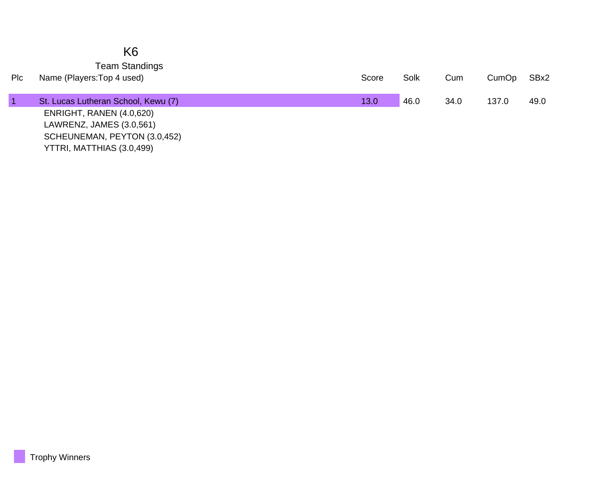|     | K <sub>6</sub>                      |       |      |      |       |      |
|-----|-------------------------------------|-------|------|------|-------|------|
|     | <b>Team Standings</b>               |       |      |      |       |      |
| Plc | Name (Players: Top 4 used)          | Score | Solk | Cum  | CumOp | SBx2 |
|     |                                     |       |      |      |       |      |
|     | St. Lucas Lutheran School, Kewu (7) | 13.0  | 46.0 | 34.0 | 137.0 | 49.0 |
|     | ENRIGHT, RANEN (4.0,620)            |       |      |      |       |      |
|     | LAWRENZ, JAMES (3.0,561)            |       |      |      |       |      |
|     | SCHEUNEMAN, PEYTON (3.0,452)        |       |      |      |       |      |
|     | YTTRI, MATTHIAS (3.0,499)           |       |      |      |       |      |

г